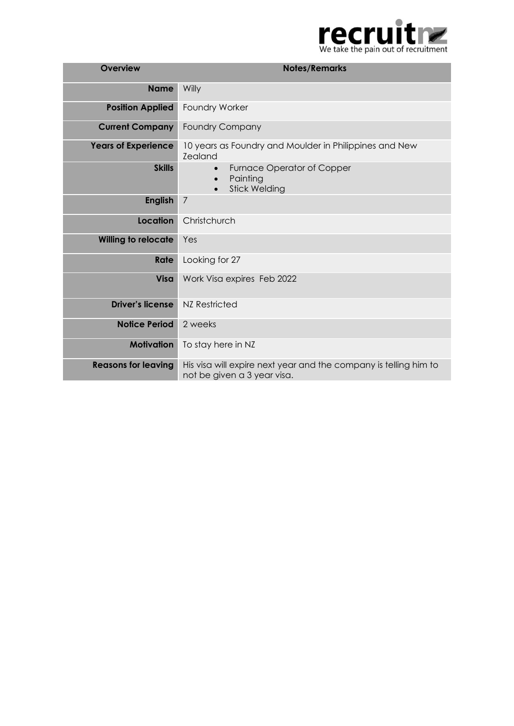

| <b>Overview</b>            | <b>Notes/Remarks</b>                                                                                         |
|----------------------------|--------------------------------------------------------------------------------------------------------------|
| <b>Name</b>                | Willy                                                                                                        |
| <b>Position Applied</b>    | Foundry Worker                                                                                               |
| <b>Current Company</b>     | <b>Foundry Company</b>                                                                                       |
| <b>Years of Experience</b> | 10 years as Foundry and Moulder in Philippines and New<br>Zealand                                            |
| <b>Skills</b>              | <b>Furnace Operator of Copper</b><br>$\bullet$<br>Painting<br>$\bullet$<br><b>Stick Welding</b><br>$\bullet$ |
| <b>English</b>             | $\overline{7}$                                                                                               |
| Location                   | Christchurch                                                                                                 |
| <b>Willing to relocate</b> | Yes                                                                                                          |
| Rate                       | Looking for 27                                                                                               |
| Visa                       | Work Visa expires Feb 2022                                                                                   |
| Driver's license           | NZ Restricted                                                                                                |
| <b>Notice Period</b>       | 2 weeks                                                                                                      |
| <b>Motivation</b>          | To stay here in NZ                                                                                           |
| <b>Reasons for leaving</b> | His visa will expire next year and the company is telling him to<br>not be given a 3 year visa.              |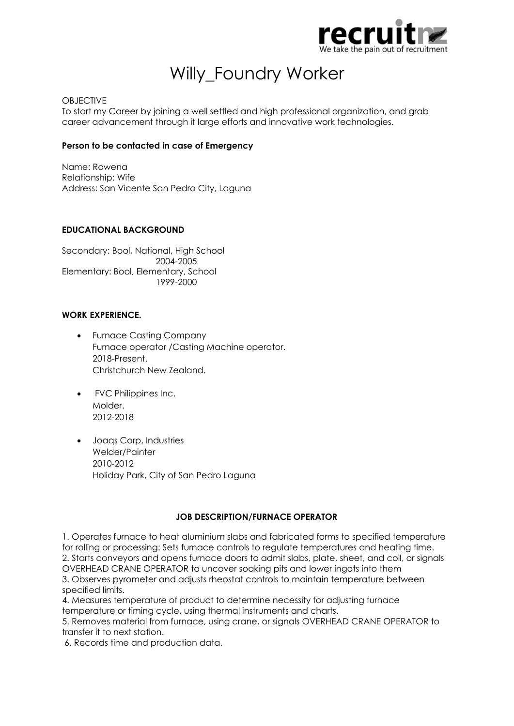

# Willy\_Foundry Worker

#### OBJECTIVE

To start my Career by joining a well settled and high professional organization, and grab career advancement through it large efforts and innovative work technologies.

#### **Person to be contacted in case of Emergency**

Name: Rowena Relationship: Wife Address: San Vicente San Pedro City, Laguna

#### **EDUCATIONAL BACKGROUND**

Secondary: Bool, National, High School 2004-2005 Elementary: Bool, Elementary, School 1999-2000

#### **WORK EXPERIENCE.**

- Furnace Casting Company Furnace operator /Casting Machine operator. 2018-Present. Christchurch New Zealand.
- FVC Philippines Inc. Molder. 2012-2018
- Joaqs Corp, Industries Welder/Painter 2010-2012 Holiday Park, City of San Pedro Laguna

## **JOB DESCRIPTION/FURNACE OPERATOR**

1. Operates furnace to heat aluminium slabs and fabricated forms to specified temperature for rolling or processing: Sets furnace controls to regulate temperatures and heating time. 2. Starts conveyors and opens furnace doors to admit slabs, plate, sheet, and coil, or signals OVERHEAD CRANE OPERATOR to uncover soaking pits and lower ingots into them 3. Observes pyrometer and adjusts rheostat controls to maintain temperature between specified limits.

4. Measures temperature of product to determine necessity for adjusting furnace temperature or timing cycle, using thermal instruments and charts.

5. Removes material from furnace, using crane, or signals OVERHEAD CRANE OPERATOR to transfer it to next station.

6. Records time and production data.